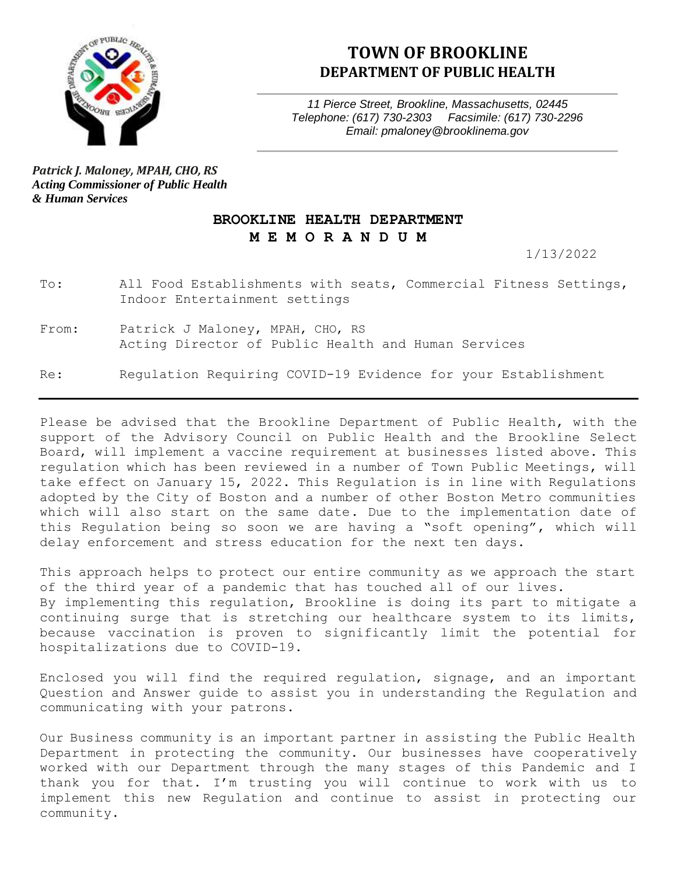

#### **TOWN OF BROOKLINE DEPARTMENT OF PUBLIC HEALTH**

*11 Pierce Street, Brookline, Massachusetts, 02445 Telephone: (617) 730-2303 Facsimile: (617) 730-2296 Email: pmaloney@brooklinema.gov*

*Patrick J. Maloney, MPAH, CHO, RS Acting Commissioner of Public Health & Human Services*

#### **BROOKLINE HEALTH DEPARTMENT M E M O R A N D U M**

1/13/2022

To: All Food Establishments with seats, Commercial Fitness Settings, Indoor Entertainment settings

From: Patrick J Maloney, MPAH, CHO, RS Acting Director of Public Health and Human Services

Re: Regulation Requiring COVID-19 Evidence for your Establishment

Please be advised that the Brookline Department of Public Health, with the support of the Advisory Council on Public Health and the Brookline Select Board, will implement a vaccine requirement at businesses listed above. This regulation which has been reviewed in a number of Town Public Meetings, will take effect on January 15, 2022. This Regulation is in line with Regulations adopted by the City of Boston and a number of other Boston Metro communities which will also start on the same date. Due to the implementation date of this Regulation being so soon we are having a "soft opening", which will delay enforcement and stress education for the next ten days.

This approach helps to protect our entire community as we approach the start of the third year of a pandemic that has touched all of our lives. By implementing this regulation, Brookline is doing its part to mitigate a continuing surge that is stretching our healthcare system to its limits, because vaccination is proven to significantly limit the potential for hospitalizations due to COVID-19.

Enclosed you will find the required regulation, signage, and an important Question and Answer guide to assist you in understanding the Regulation and communicating with your patrons.

Our Business community is an important partner in assisting the Public Health Department in protecting the community. Our businesses have cooperatively worked with our Department through the many stages of this Pandemic and I thank you for that. I'm trusting you will continue to work with us to implement this new Regulation and continue to assist in protecting our community.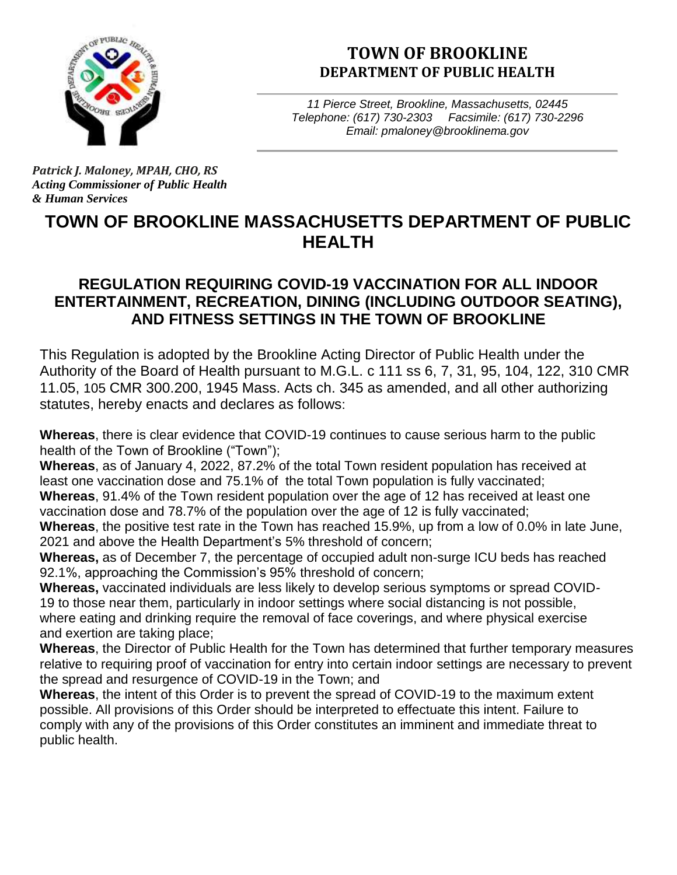

# **TOWN OF BROOKLINE DEPARTMENT OF PUBLIC HEALTH**

*11 Pierce Street, Brookline, Massachusetts, 02445 Telephone: (617) 730-2303 Facsimile: (617) 730-2296 Email: pmaloney@brooklinema.gov*

*Patrick J. Maloney, MPAH, CHO, RS Acting Commissioner of Public Health & Human Services*

# **TOWN OF BROOKLINE MASSACHUSETTS DEPARTMENT OF PUBLIC HEALTH**

# **REGULATION REQUIRING COVID-19 VACCINATION FOR ALL INDOOR ENTERTAINMENT, RECREATION, DINING (INCLUDING OUTDOOR SEATING), AND FITNESS SETTINGS IN THE TOWN OF BROOKLINE**

This Regulation is adopted by the Brookline Acting Director of Public Health under the Authority of the Board of Health pursuant to M.G.L. c 111 ss 6, 7, 31, 95, 104, 122, 310 CMR 11.05, 105 CMR 300.200, 1945 Mass. Acts ch. 345 as amended, and all other authorizing statutes, hereby enacts and declares as follows:

**Whereas**, there is clear evidence that COVID-19 continues to cause serious harm to the public health of the Town of Brookline ("Town");

**Whereas**, as of January 4, 2022, 87.2% of the total Town resident population has received at least one vaccination dose and 75.1% of the total Town population is fully vaccinated;

**Whereas**, 91.4% of the Town resident population over the age of 12 has received at least one vaccination dose and 78.7% of the population over the age of 12 is fully vaccinated;

**Whereas**, the positive test rate in the Town has reached 15.9%, up from a low of 0.0% in late June, 2021 and above the Health Department's 5% threshold of concern;

**Whereas,** as of December 7, the percentage of occupied adult non-surge ICU beds has reached 92.1%, approaching the Commission's 95% threshold of concern;

**Whereas,** vaccinated individuals are less likely to develop serious symptoms or spread COVID-19 to those near them, particularly in indoor settings where social distancing is not possible, where eating and drinking require the removal of face coverings, and where physical exercise and exertion are taking place;

**Whereas**, the Director of Public Health for the Town has determined that further temporary measures relative to requiring proof of vaccination for entry into certain indoor settings are necessary to prevent the spread and resurgence of COVID-19 in the Town; and

**Whereas**, the intent of this Order is to prevent the spread of COVID-19 to the maximum extent possible. All provisions of this Order should be interpreted to effectuate this intent. Failure to comply with any of the provisions of this Order constitutes an imminent and immediate threat to public health.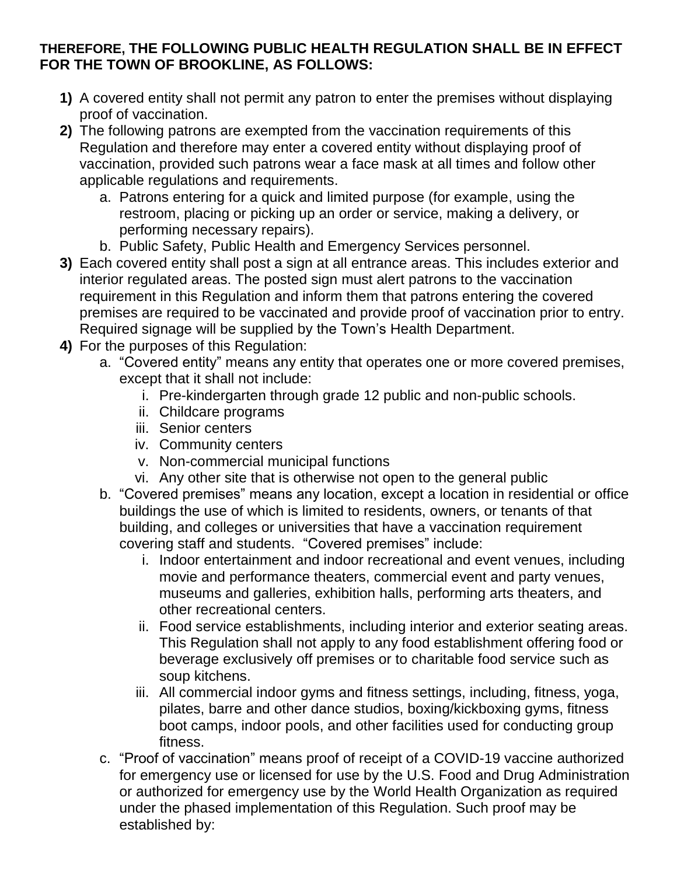#### **THEREFORE, THE FOLLOWING PUBLIC HEALTH REGULATION SHALL BE IN EFFECT FOR THE TOWN OF BROOKLINE, AS FOLLOWS:**

- **1)** A covered entity shall not permit any patron to enter the premises without displaying proof of vaccination.
- **2)** The following patrons are exempted from the vaccination requirements of this Regulation and therefore may enter a covered entity without displaying proof of vaccination, provided such patrons wear a face mask at all times and follow other applicable regulations and requirements.
	- a. Patrons entering for a quick and limited purpose (for example, using the restroom, placing or picking up an order or service, making a delivery, or performing necessary repairs).
	- b. Public Safety, Public Health and Emergency Services personnel.
- **3)** Each covered entity shall post a sign at all entrance areas. This includes exterior and interior regulated areas. The posted sign must alert patrons to the vaccination requirement in this Regulation and inform them that patrons entering the covered premises are required to be vaccinated and provide proof of vaccination prior to entry. Required signage will be supplied by the Town's Health Department.
- **4)** For the purposes of this Regulation:
	- a. "Covered entity" means any entity that operates one or more covered premises, except that it shall not include:
		- i. Pre-kindergarten through grade 12 public and non-public schools.
		- ii. Childcare programs
		- iii. Senior centers
		- iv. Community centers
		- v. Non-commercial municipal functions
		- vi. Any other site that is otherwise not open to the general public
	- b. "Covered premises" means any location, except a location in residential or office buildings the use of which is limited to residents, owners, or tenants of that building, and colleges or universities that have a vaccination requirement covering staff and students. "Covered premises" include:
		- i. Indoor entertainment and indoor recreational and event venues, including movie and performance theaters, commercial event and party venues, museums and galleries, exhibition halls, performing arts theaters, and other recreational centers.
		- ii. Food service establishments, including interior and exterior seating areas. This Regulation shall not apply to any food establishment offering food or beverage exclusively off premises or to charitable food service such as soup kitchens.
		- iii. All commercial indoor gyms and fitness settings, including, fitness, yoga, pilates, barre and other dance studios, boxing/kickboxing gyms, fitness boot camps, indoor pools, and other facilities used for conducting group fitness.
	- c. "Proof of vaccination" means proof of receipt of a COVID-19 vaccine authorized for emergency use or licensed for use by the U.S. Food and Drug Administration or authorized for emergency use by the World Health Organization as required under the phased implementation of this Regulation. Such proof may be established by: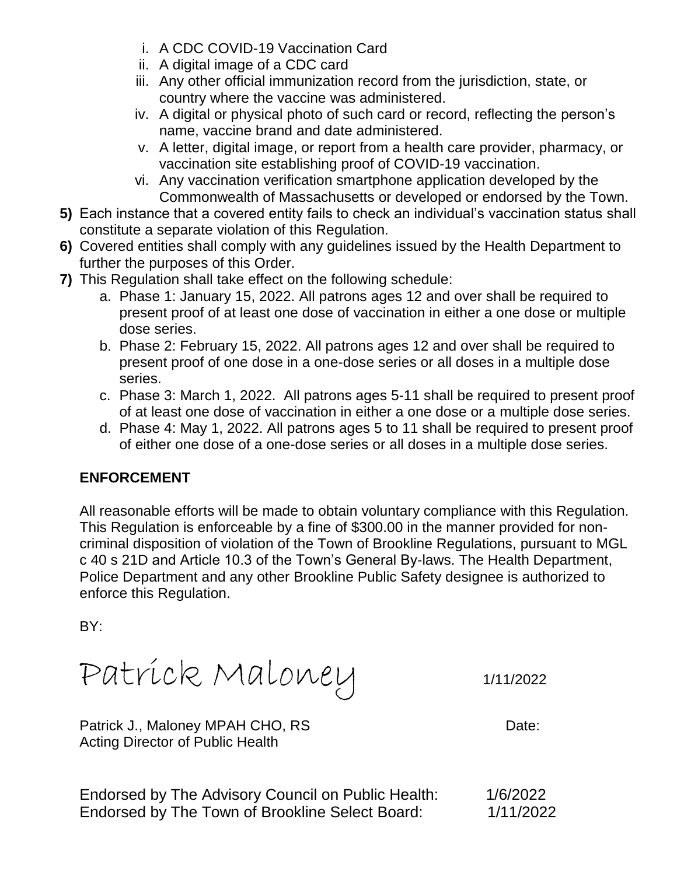- i. A CDC COVID-19 Vaccination Card
- ii. A digital image of a CDC card
- iii. Any other official immunization record from the jurisdiction, state, or country where the vaccine was administered.
- iv. A digital or physical photo of such card or record, reflecting the person's name, vaccine brand and date administered.
- v. A letter, digital image, or report from a health care provider, pharmacy, or vaccination site establishing proof of COVID-19 vaccination.
- vi. Any vaccination verification smartphone application developed by the Commonwealth of Massachusetts or developed or endorsed by the Town.
- **5)** Each instance that a covered entity fails to check an individual's vaccination status shall constitute a separate violation of this Regulation.
- **6)** Covered entities shall comply with any guidelines issued by the Health Department to further the purposes of this Order.
- **7)** This Regulation shall take effect on the following schedule:
	- a. Phase 1: January 15, 2022. All patrons ages 12 and over shall be required to present proof of at least one dose of vaccination in either a one dose or multiple dose series.
	- b. Phase 2: February 15, 2022. All patrons ages 12 and over shall be required to present proof of one dose in a one-dose series or all doses in a multiple dose series.
	- c. Phase 3: March 1, 2022. All patrons ages 5-11 shall be required to present proof of at least one dose of vaccination in either a one dose or a multiple dose series.
	- d. Phase 4: May 1, 2022. All patrons ages 5 to 11 shall be required to present proof of either one dose of a one-dose series or all doses in a multiple dose series.

# **ENFORCEMENT**

All reasonable efforts will be made to obtain voluntary compliance with this Regulation. This Regulation is enforceable by a fine of \$300.00 in the manner provided for noncriminal disposition of violation of the Town of Brookline Regulations, pursuant to MGL c 40 s 21D and Article 10.3 of the Town's General By-laws. The Health Department, Police Department and any other Brookline Public Safety designee is authorized to enforce this Regulation.

BY:

Patrick Maloney 1/11/2022

Patrick J., Maloney MPAH CHO, RS Date: Acting Director of Public Health

Endorsed by The Advisory Council on Public Health: 1/6/2022 Endorsed by The Town of Brookline Select Board: 1/11/2022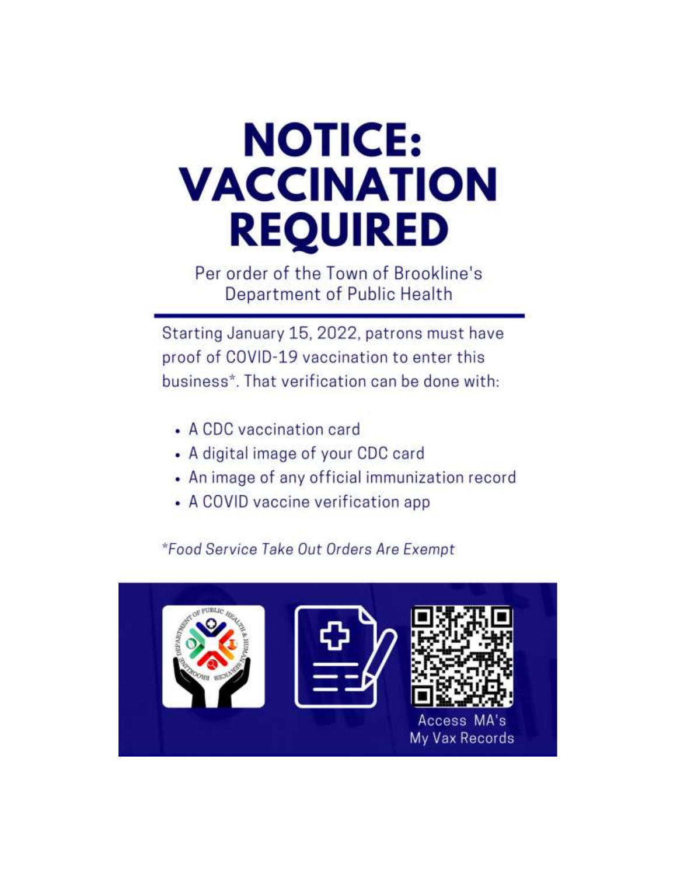# **NOTICE: VACCINATION REQUIRED**

Per order of the Town of Brookline's Department of Public Health

Starting January 15, 2022, patrons must have proof of COVID-19 vaccination to enter this business\*. That verification can be done with:

- A CDC vaccination card
- A digital image of your CDC card
- An image of any official immunization record
- A COVID vaccine verification app

\*Food Service Take Out Orders Are Exempt

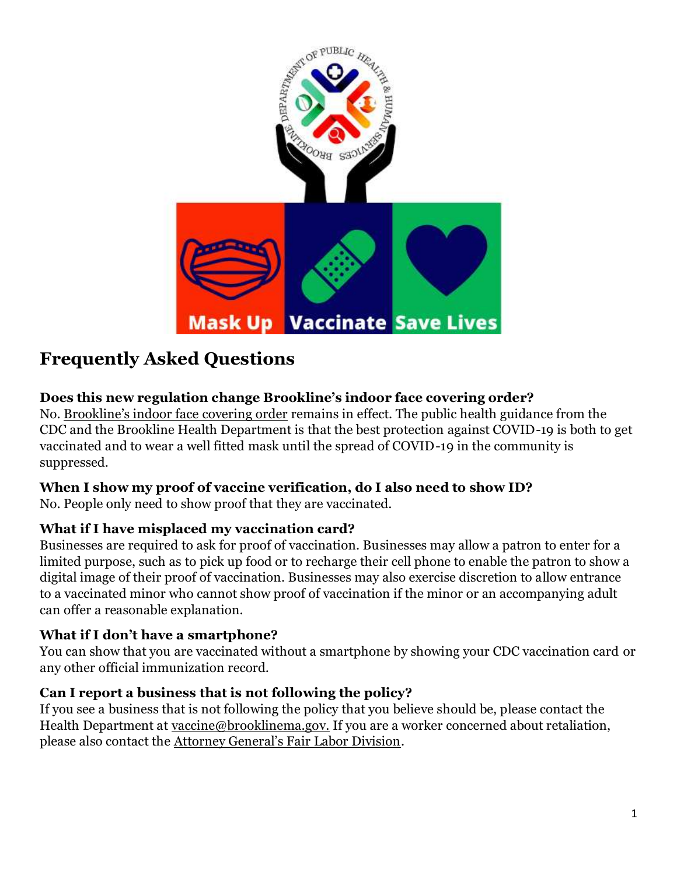

# **Frequently Asked Questions**

# **Does this new regulation change Brookline's indoor face covering order?**

No. [Brookline's indoor face](https://brooklinecovid19.com/2021/08/20/town-of-brookline-to-require-face-coverings-indoors-townwide/) covering order remains in effect. The public health guidance from the CDC and the Brookline Health Department is that the best protection against COVID-19 is both to get vaccinated and to wear a well fitted mask until the spread of COVID-19 in the community is suppressed.

# **When I show my proof of vaccine verification, do I also need to show ID?**

No. People only need to show proof that they are vaccinated.

#### **What if I have misplaced my vaccination card?**

Businesses are required to ask for proof of vaccination. Businesses may allow a patron to enter for a limited purpose, such as to pick up food or to recharge their cell phone to enable the patron to show a digital image of their proof of vaccination. Businesses may also exercise discretion to allow entrance to a vaccinated minor who cannot show proof of vaccination if the minor or an accompanying adult can offer a reasonable explanation.

#### **What if I don't have a smartphone?**

You can show that you are vaccinated without a smartphone by showing your CDC vaccination card or any other official immunization record.

#### **Can I report a business that is not following the policy?**

If you see a business that is not following the policy that you believe should be, please contact the Health Department at [vaccine@brooklinema.gov.](mailto:vaccine@brooklinema.gov) If you are a worker concerned about retaliation, please also contact the [Attorney General's Fair Labor Division](https://www.mass.gov/how-to/file-a-workplace-complaint).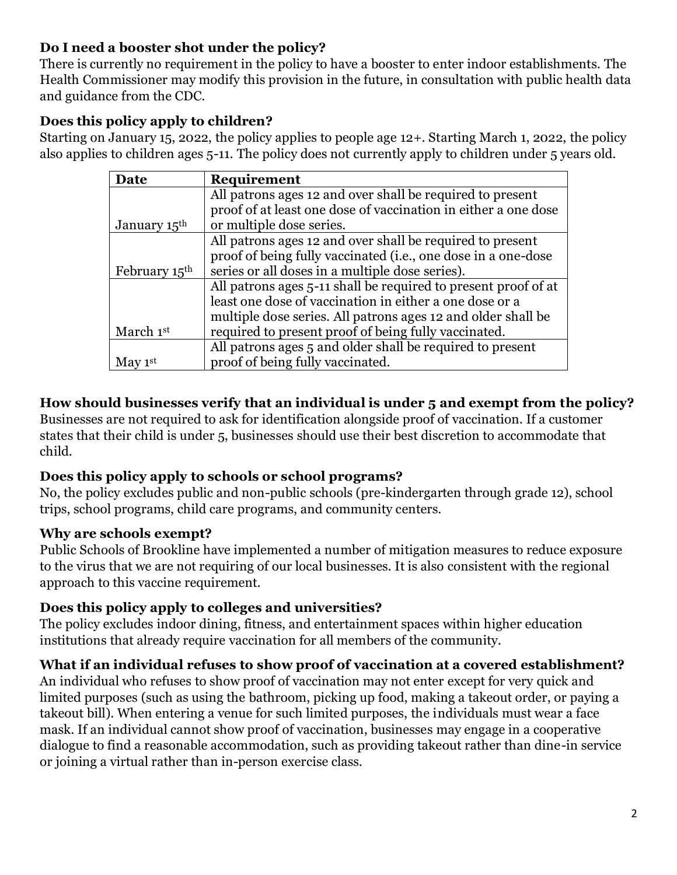#### **Do I need a booster shot under the policy?**

There is currently no requirement in the policy to have a booster to enter indoor establishments. The Health Commissioner may modify this provision in the future, in consultation with public health data and guidance from the CDC.

#### **Does this policy apply to children?**

Starting on January 15, 2022, the policy applies to people age 12+. Starting March 1, 2022, the policy also applies to children ages 5-11. The policy does not currently apply to children under 5 years old.

| Date                      | <b>Requirement</b>                                             |
|---------------------------|----------------------------------------------------------------|
|                           | All patrons ages 12 and over shall be required to present      |
|                           | proof of at least one dose of vaccination in either a one dose |
| January 15 <sup>th</sup>  | or multiple dose series.                                       |
|                           | All patrons ages 12 and over shall be required to present      |
|                           | proof of being fully vaccinated (i.e., one dose in a one-dose  |
| February 15 <sup>th</sup> | series or all doses in a multiple dose series).                |
|                           | All patrons ages 5-11 shall be required to present proof of at |
|                           | least one dose of vaccination in either a one dose or a        |
|                           | multiple dose series. All patrons ages 12 and older shall be   |
| March 1st                 | required to present proof of being fully vaccinated.           |
|                           | All patrons ages 5 and older shall be required to present      |
| May $1st$                 | proof of being fully vaccinated.                               |

# **How should businesses verify that an individual is under 5 and exempt from the policy?**

Businesses are not required to ask for identification alongside proof of vaccination. If a customer states that their child is under 5, businesses should use their best discretion to accommodate that child.

#### **Does this policy apply to schools or school programs?**

No, the policy excludes public and non-public schools (pre-kindergarten through grade 12), school trips, school programs, child care programs, and community centers.

#### **Why are schools exempt?**

Public Schools of Brookline have implemented a number of mitigation measures to reduce exposure to the virus that we are not requiring of our local businesses. It is also consistent with the regional approach to this vaccine requirement.

#### **Does this policy apply to colleges and universities?**

The policy excludes indoor dining, fitness, and entertainment spaces within higher education institutions that already require vaccination for all members of the community.

#### **What if an individual refuses to show proof of vaccination at a covered establishment?**

An individual who refuses to show proof of vaccination may not enter except for very quick and limited purposes (such as using the bathroom, picking up food, making a takeout order, or paying a takeout bill). When entering a venue for such limited purposes, the individuals must wear a face mask. If an individual cannot show proof of vaccination, businesses may engage in a cooperative dialogue to find a reasonable accommodation, such as providing takeout rather than dine-in service or joining a virtual rather than in-person exercise class.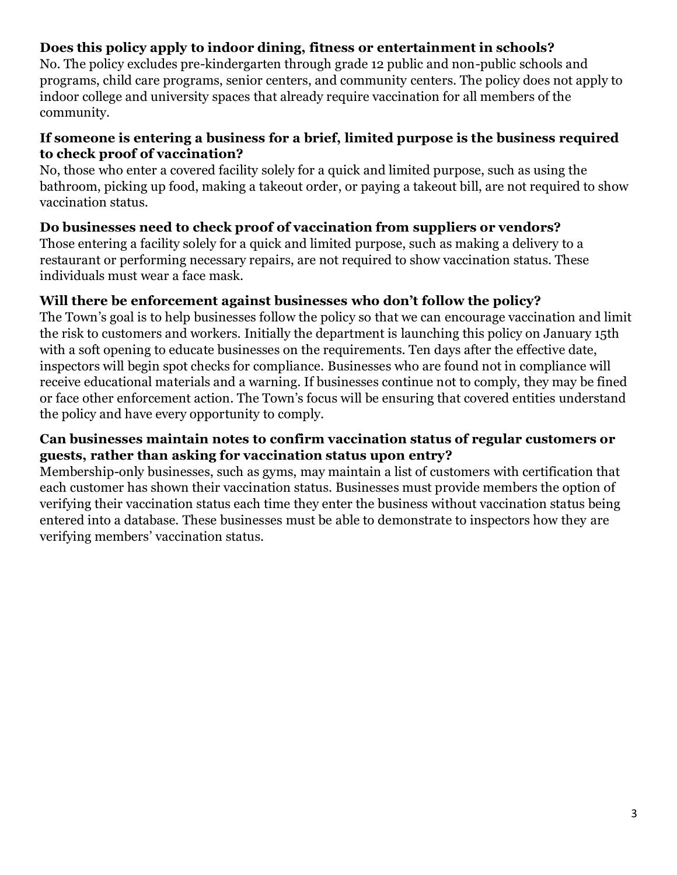#### **Does this policy apply to indoor dining, fitness or entertainment in schools?**

No. The policy excludes pre-kindergarten through grade 12 public and non-public schools and programs, child care programs, senior centers, and community centers. The policy does not apply to indoor college and university spaces that already require vaccination for all members of the community.

#### **If someone is entering a business for a brief, limited purpose is the business required to check proof of vaccination?**

No, those who enter a covered facility solely for a quick and limited purpose, such as using the bathroom, picking up food, making a takeout order, or paying a takeout bill, are not required to show vaccination status.

#### **Do businesses need to check proof of vaccination from suppliers or vendors?**

Those entering a facility solely for a quick and limited purpose, such as making a delivery to a restaurant or performing necessary repairs, are not required to show vaccination status. These individuals must wear a face mask.

#### **Will there be enforcement against businesses who don't follow the policy?**

The Town's goal is to help businesses follow the policy so that we can encourage vaccination and limit the risk to customers and workers. Initially the department is launching this policy on January 15th with a soft opening to educate businesses on the requirements. Ten days after the effective date, inspectors will begin spot checks for compliance. Businesses who are found not in compliance will receive educational materials and a warning. If businesses continue not to comply, they may be fined or face other enforcement action. The Town's focus will be ensuring that covered entities understand the policy and have every opportunity to comply.

#### **Can businesses maintain notes to confirm vaccination status of regular customers or guests, rather than asking for vaccination status upon entry?**

Membership-only businesses, such as gyms, may maintain a list of customers with certification that each customer has shown their vaccination status. Businesses must provide members the option of verifying their vaccination status each time they enter the business without vaccination status being entered into a database. These businesses must be able to demonstrate to inspectors how they are verifying members' vaccination status.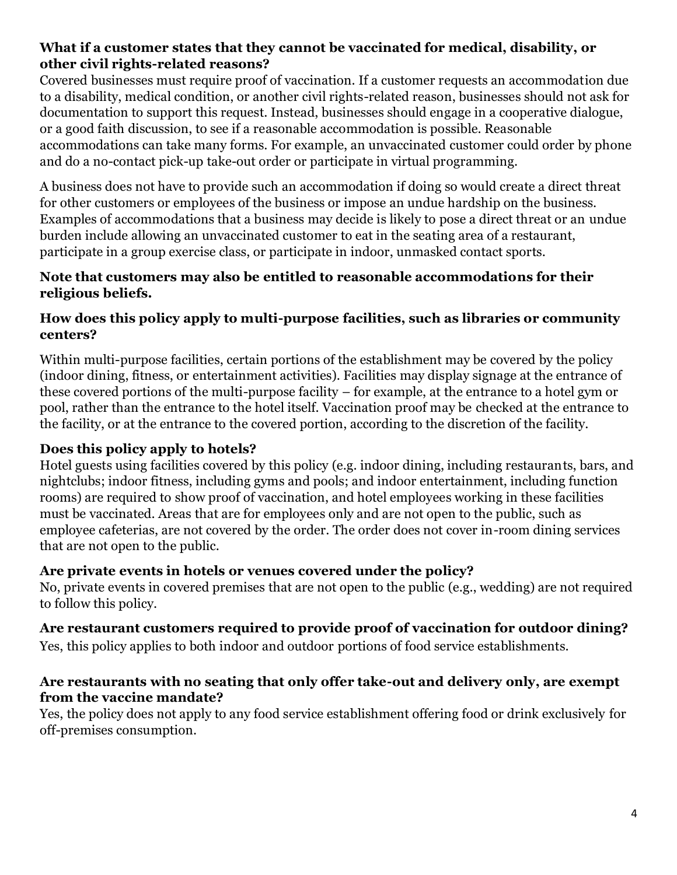#### **What if a customer states that they cannot be vaccinated for medical, disability, or other civil rights-related reasons?**

Covered businesses must require proof of vaccination. If a customer requests an accommodation due to a disability, medical condition, or another civil rights-related reason, businesses should not ask for documentation to support this request. Instead, businesses should engage in a cooperative dialogue, or a good faith discussion, to see if a reasonable accommodation is possible. Reasonable accommodations can take many forms. For example, an unvaccinated customer could order by phone and do a no-contact pick-up take-out order or participate in virtual programming.

A business does not have to provide such an accommodation if doing so would create a direct threat for other customers or employees of the business or impose an undue hardship on the business. Examples of accommodations that a business may decide is likely to pose a direct threat or an undue burden include allowing an unvaccinated customer to eat in the seating area of a restaurant, participate in a group exercise class, or participate in indoor, unmasked contact sports.

#### **Note that customers may also be entitled to reasonable accommodations for their religious beliefs.**

#### **How does this policy apply to multi-purpose facilities, such as libraries or community centers?**

Within multi-purpose facilities, certain portions of the establishment may be covered by the policy (indoor dining, fitness, or entertainment activities). Facilities may display signage at the entrance of these covered portions of the multi-purpose facility – for example, at the entrance to a hotel gym or pool, rather than the entrance to the hotel itself. Vaccination proof may be checked at the entrance to the facility, or at the entrance to the covered portion, according to the discretion of the facility.

# **Does this policy apply to hotels?**

Hotel guests using facilities covered by this policy (e.g. indoor dining, including restaurants, bars, and nightclubs; indoor fitness, including gyms and pools; and indoor entertainment, including function rooms) are required to show proof of vaccination, and hotel employees working in these facilities must be vaccinated. Areas that are for employees only and are not open to the public, such as employee cafeterias, are not covered by the order. The order does not cover in-room dining services that are not open to the public.

# **Are private events in hotels or venues covered under the policy?**

No, private events in covered premises that are not open to the public (e.g., wedding) are not required to follow this policy.

# **Are restaurant customers required to provide proof of vaccination for outdoor dining?**

Yes, this policy applies to both indoor and outdoor portions of food service establishments.

#### **Are restaurants with no seating that only offer take-out and delivery only, are exempt from the vaccine mandate?**

Yes, the policy does not apply to any food service establishment offering food or drink exclusively for off-premises consumption.